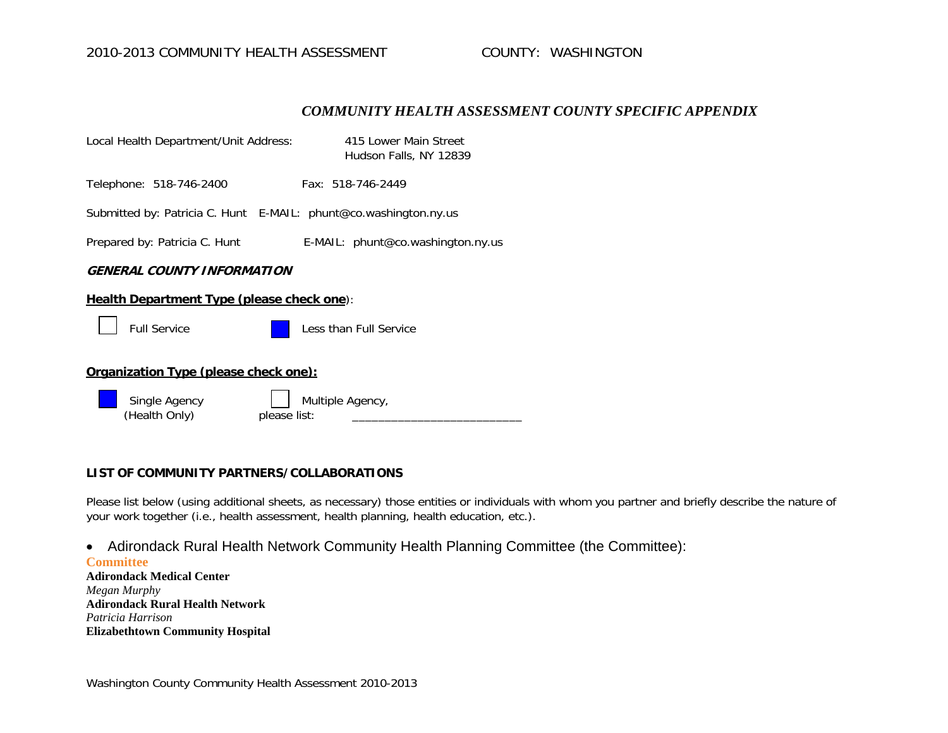# *COMMUNITY HEALTH ASSESSMENT COUNTY SPECIFIC APPENDIX*

| Local Health Department/Unit Address: | 415 Lower Main Street  |
|---------------------------------------|------------------------|
|                                       | Hudson Falls, NY 12839 |

Telephone: 518-746-2400 Fax: 518-746-2449

Submitted by: Patricia C. Hunt E-MAIL: phunt@co.washington.ny.us

Prepared by: Patricia C. Hunt E-MAIL: phunt@co.washington.ny.us

#### **GENERAL COUNTY INFORMATION**

#### **Health Department Type (please check one**):

Full Service **Less than Full Service** 

|  | Organization Type (please check one): |  |
|--|---------------------------------------|--|
|  |                                       |  |

| Single Agency | Multiple Agency, |
|---------------|------------------|
| (Health Only) | please list:     |

### **LIST OF COMMUNITY PARTNERS/COLLABORATIONS**

Please list below (using additional sheets, as necessary) those entities or individuals with whom you partner and briefly describe the nature of your work together (i.e., health assessment, health planning, health education, etc.).

• Adirondack Rural Health Network Community Health Planning Committee (the Committee):

#### **Committee**

**Adirondack Medical Center**  *Megan Murphy*  **Adirondack Rural Health Network** *Patricia Harrison* **Elizabethtown Community Hospital** 

Washington County Community Health Assessment 2010-2013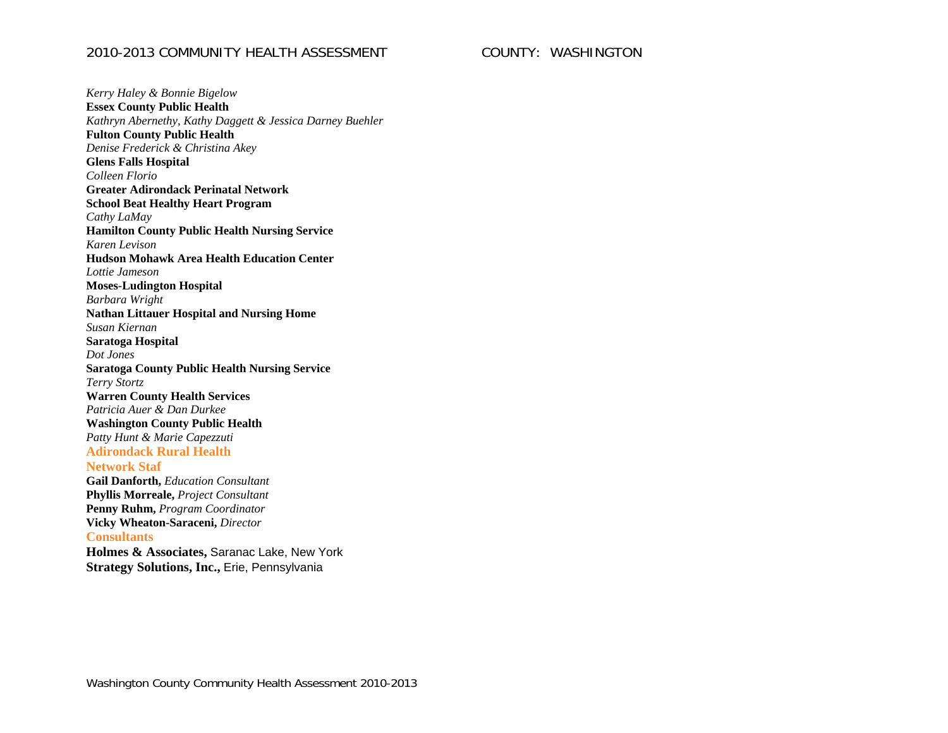# 2010-2013 COMMUNITY HEALTH ASSESSMENT COUNTY: WASHINGTON

*Kerry Haley & Bonnie Bigelow*  **Essex County Public Health**  *Kathryn Abernethy, Kathy Daggett & Jessica Darney Buehler*  **Fulton County Public Health**  *Denise Frederick & Christina Akey*  **Glens Falls Hospital**  *Colleen Florio* **Greater Adirondack Perinatal Network School Beat Healthy Heart Program**  *Cathy LaMay*  **Hamilton County Public Health Nursing Service**  *Karen Levison* **Hudson Mohawk Area Health Education Center** *Lottie Jameson* **Moses-Ludington Hospital**  *Barbara Wright*  **Nathan Littauer Hospital and Nursing Home**  *Susan Kiernan*  **Saratoga Hospital**  *Dot Jones*  **Saratoga County Public Health Nursing Service**  *Terry Stortz*  **Warren County Health Services**  *Patricia Auer & Dan Durkee* **Washington County Public Health**  *Patty Hunt & Marie Capezzuti*  **Adirondack Rural Health Network Staf Gail Danforth,** *Education Consultant*  **Phyllis Morreale,** *Project Consultant*  **Penny Ruhm,** *Program Coordinator*  **Vicky Wheaton-Saraceni,** *Director* 

**Consultants** 

**Holmes & Associates,** Saranac Lake, New York **Strategy Solutions, Inc.,** Erie, Pennsylvania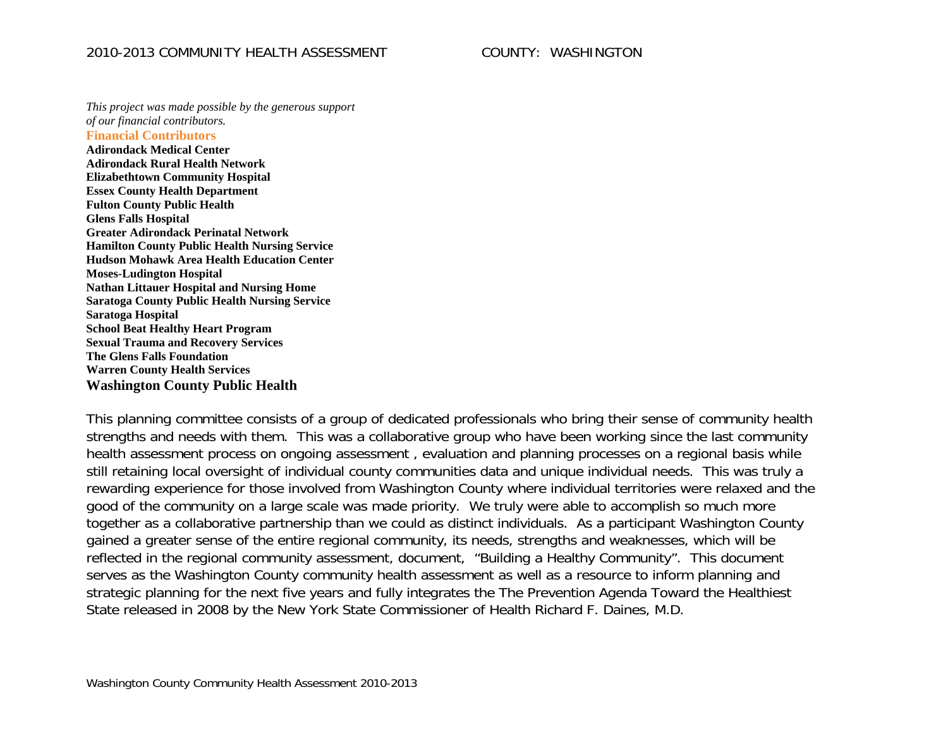*This project was made possible by the generous support of our financial contributors.* 

**Financial Contributors Adirondack Medical Center Adirondack Rural Health Network Elizabethtown Community Hospital Essex County Health Department Fulton County Public Health Glens Falls Hospital Greater Adirondack Perinatal Network Hamilton County Public Health Nursing Service Hudson Mohawk Area Health Education Center Moses-Ludington Hospital Nathan Littauer Hospital and Nursing Home Saratoga County Public Health Nursing Service Saratoga Hospital School Beat Healthy Heart Program Sexual Trauma and Recovery Services The Glens Falls Foundation Warren County Health Services Washington County Public Health** 

This planning committee consists of a group of dedicated professionals who bring their sense of community health strengths and needs with them. This was a collaborative group who have been working since the last community health assessment process on ongoing assessment , evaluation and planning processes on a regional basis while still retaining local oversight of individual county communities data and unique individual needs. This was truly a rewarding experience for those involved from Washington County where individual territories were relaxed and the good of the community on a large scale was made priority. We truly were able to accomplish so much more together as a collaborative partnership than we could as distinct individuals. As a participant Washington County gained a greater sense of the entire regional community, its needs, strengths and weaknesses, which will be reflected in the regional community assessment, document, "Building a Healthy Community". This document serves as the Washington County community health assessment as well as a resource to inform planning and strategic planning for the next five years and fully integrates the The Prevention Agenda Toward the Healthiest State released in 2008 by the New York State Commissioner of Health Richard F. Daines, M.D.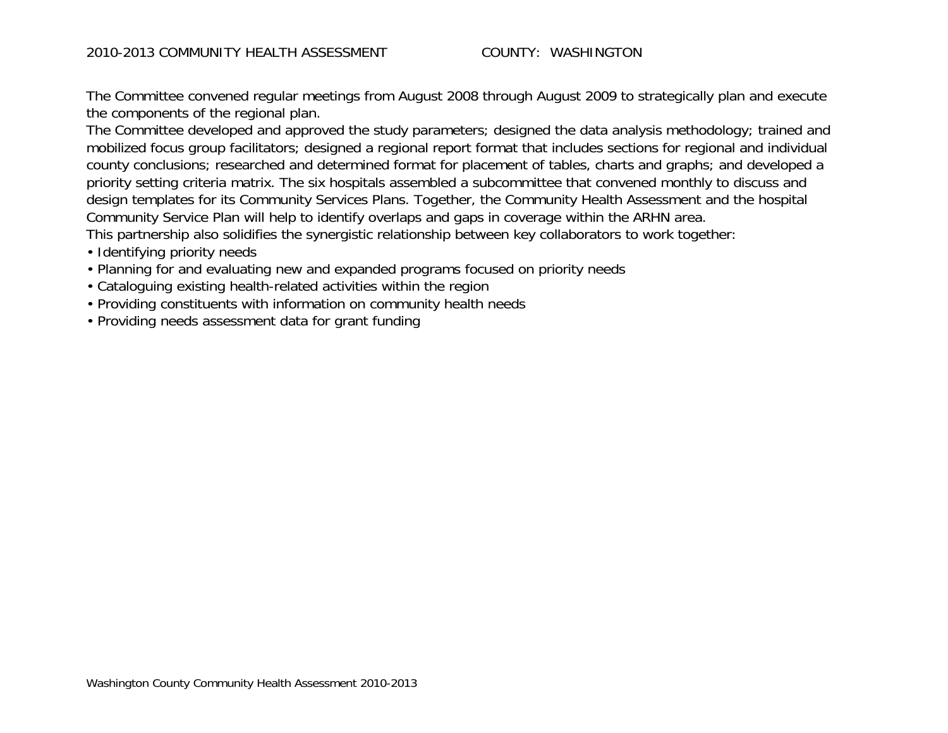The Committee convened regular meetings from August 2008 through August 2009 to strategically plan and execute the components of the regional plan.

The Committee developed and approved the study parameters; designed the data analysis methodology; trained and mobilized focus group facilitators; designed a regional report format that includes sections for regional and individual county conclusions; researched and determined format for placement of tables, charts and graphs; and developed a priority setting criteria matrix. The six hospitals assembled a subcommittee that convened monthly to discuss and design templates for its Community Services Plans. Together, the Community Health Assessment and the hospital Community Service Plan will help to identify overlaps and gaps in coverage within the ARHN area. This partnership also solidifies the synergistic relationship between key collaborators to work together:

• Identifying priority needs

- Planning for and evaluating new and expanded programs focused on priority needs
- Cataloguing existing health-related activities within the region
- Providing constituents with information on community health needs
- Providing needs assessment data for grant funding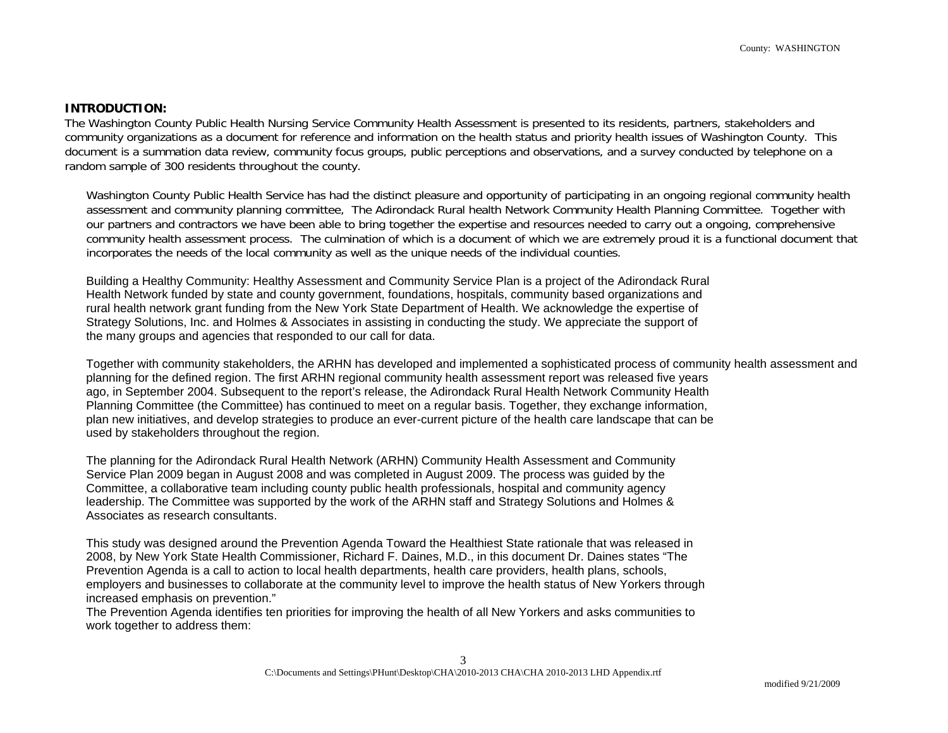#### **INTRODUCTION:**

The Washington County Public Health Nursing Service Community Health Assessment is presented to its residents, partners, stakeholders and community organizations as a document for reference and information on the health status and priority health issues of Washington County. This document is a summation data review, community focus groups, public perceptions and observations, and a survey conducted by telephone on a random sample of 300 residents throughout the county.

Washington County Public Health Service has had the distinct pleasure and opportunity of participating in an ongoing regional community health assessment and community planning committee, The Adirondack Rural health Network Community Health Planning Committee. Together with our partners and contractors we have been able to bring together the expertise and resources needed to carry out a ongoing, comprehensive community health assessment process. The culmination of which is a document of which we are extremely proud it is a functional document that incorporates the needs of the local community as well as the unique needs of the individual counties.

Building a Healthy Community: Healthy Assessment and Community Service Plan is a project of the Adirondack Rural Health Network funded by state and county government, foundations, hospitals, community based organizations and rural health network grant funding from the New York State Department of Health. We acknowledge the expertise of Strategy Solutions, Inc. and Holmes & Associates in assisting in conducting the study. We appreciate the support of the many groups and agencies that responded to our call for data.

Together with community stakeholders, the ARHN has developed and implemented a sophisticated process of community health assessment and planning for the defined region. The first ARHN regional community health assessment report was released five years ago, in September 2004. Subsequent to the report's release, the Adirondack Rural Health Network Community Health Planning Committee (the Committee) has continued to meet on a regular basis. Together, they exchange information, plan new initiatives, and develop strategies to produce an ever-current picture of the health care landscape that can be used by stakeholders throughout the region.

The planning for the Adirondack Rural Health Network (ARHN) Community Health Assessment and Community Service Plan 2009 began in August 2008 and was completed in August 2009. The process was guided by the Committee, a collaborative team including county public health professionals, hospital and community agency leadership. The Committee was supported by the work of the ARHN staff and Strategy Solutions and Holmes & Associates as research consultants.

This study was designed around the Prevention Agenda Toward the Healthiest State rationale that was released in 2008, by New York State Health Commissioner, Richard F. Daines, M.D., in this document Dr. Daines states "The Prevention Agenda is a call to action to local health departments, health care providers, health plans, schools, employers and businesses to collaborate at the community level to improve the health status of New Yorkers through increased emphasis on prevention."

The Prevention Agenda identifies ten priorities for improving the health of all New Yorkers and asks communities to work together to address them: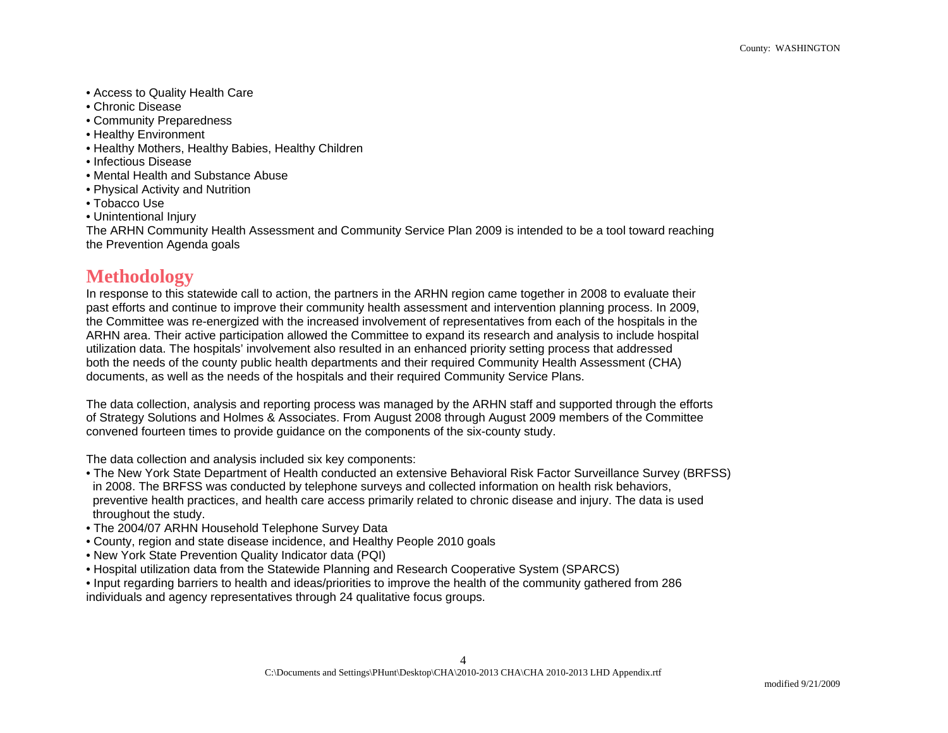- Access to Quality Health Care
- Chronic Disease
- Community Preparedness
- Healthy Environment
- Healthy Mothers, Healthy Babies, Healthy Children
- Infectious Disease
- Mental Health and Substance Abuse
- Physical Activity and Nutrition
- Tobacco Use
- Unintentional Injury

The ARHN Community Health Assessment and Community Service Plan 2009 is intended to be a tool toward reaching the Prevention Agenda goals

# **Methodology**

In response to this statewide call to action, the partners in the ARHN region came together in 2008 to evaluate their past efforts and continue to improve their community health assessment and intervention planning process. In 2009, the Committee was re-energized with the increased involvement of representatives from each of the hospitals in the ARHN area. Their active participation allowed the Committee to expand its research and analysis to include hospital utilization data. The hospitals' involvement also resulted in an enhanced priority setting process that addressed both the needs of the county public health departments and their required Community Health Assessment (CHA) documents, as well as the needs of the hospitals and their required Community Service Plans.

The data collection, analysis and reporting process was managed by the ARHN staff and supported through the efforts of Strategy Solutions and Holmes & Associates. From August 2008 through August 2009 members of the Committee convened fourteen times to provide guidance on the components of the six-county study.

The data collection and analysis included six key components:

- The New York State Department of Health conducted an extensive Behavioral Risk Factor Surveillance Survey (BRFSS) in 2008. The BRFSS was conducted by telephone surveys and collected information on health risk behaviors, preventive health practices, and health care access primarily related to chronic disease and injury. The data is used throughout the study.
- The 2004/07 ARHN Household Telephone Survey Data
- County, region and state disease incidence, and Healthy People 2010 goals
- New York State Prevention Quality Indicator data (PQI)
- Hospital utilization data from the Statewide Planning and Research Cooperative System (SPARCS)
- Input regarding barriers to health and ideas/priorities to improve the health of the community gathered from 286 individuals and agency representatives through 24 qualitative focus groups.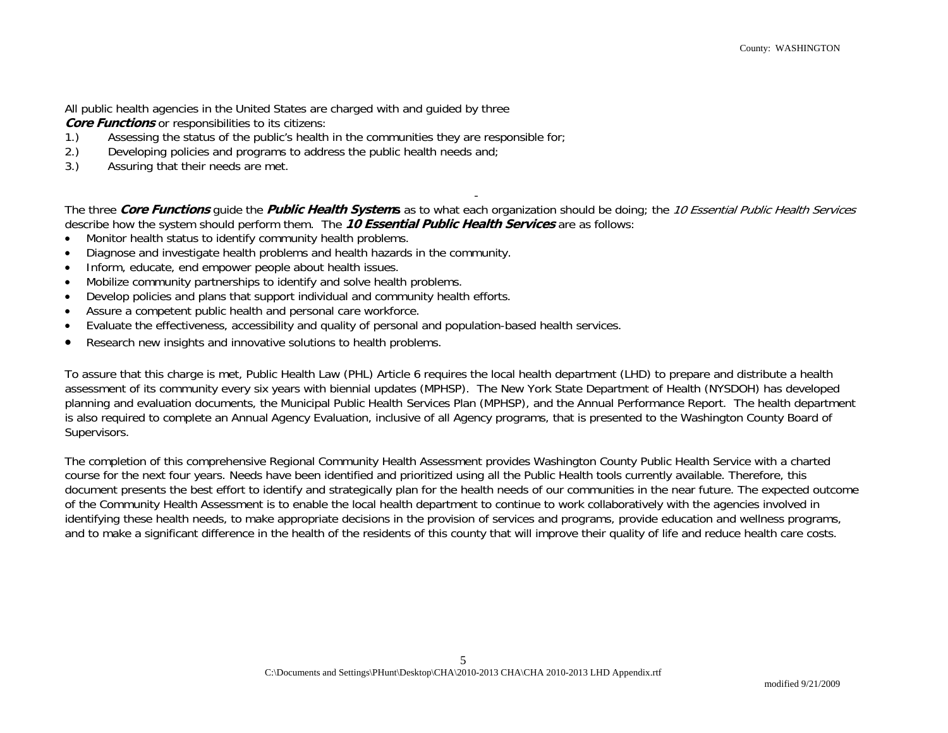All public health agencies in the United States are charged with and guided by three **Core Functions** or responsibilities to its citizens:

- 1.) Assessing the status of the public's health in the communities they are responsible for;
- 2.) Developing policies and programs to address the public health needs and;
- 3.) Assuring that their needs are met.

The three **Core Functions** guide the **Public Health Systems** as to what each organization should be doing; the 10 Essential Public Health Services describe how the system should perform them. The **10 Essential Public Health Services** are as follows:

-

- Monitor health status to identify community health problems.
- Diagnose and investigate health problems and health hazards in the community.
- Inform, educate, end empower people about health issues.
- Mobilize community partnerships to identify and solve health problems.
- Develop policies and plans that support individual and community health efforts.
- Assure a competent public health and personal care workforce.
- Evaluate the effectiveness, accessibility and quality of personal and population-based health services.
- Research new insights and innovative solutions to health problems.

To assure that this charge is met, Public Health Law (PHL) Article 6 requires the local health department (LHD) to prepare and distribute a health assessment of its community every six years with biennial updates (MPHSP). The New York State Department of Health (NYSDOH) has developed planning and evaluation documents, the Municipal Public Health Services Plan (MPHSP), and the Annual Performance Report. The health department is also required to complete an Annual Agency Evaluation, inclusive of all Agency programs, that is presented to the Washington County Board of Supervisors.

The completion of this comprehensive Regional Community Health Assessment provides Washington County Public Health Service with a charted course for the next four years. Needs have been identified and prioritized using all the Public Health tools currently available. Therefore, this document presents the best effort to identify and strategically plan for the health needs of our communities in the near future. The expected outcome of the Community Health Assessment is to enable the local health department to continue to work collaboratively with the agencies involved in identifying these health needs, to make appropriate decisions in the provision of services and programs, provide education and wellness programs, and to make a significant difference in the health of the residents of this county that will improve their quality of life and reduce health care costs.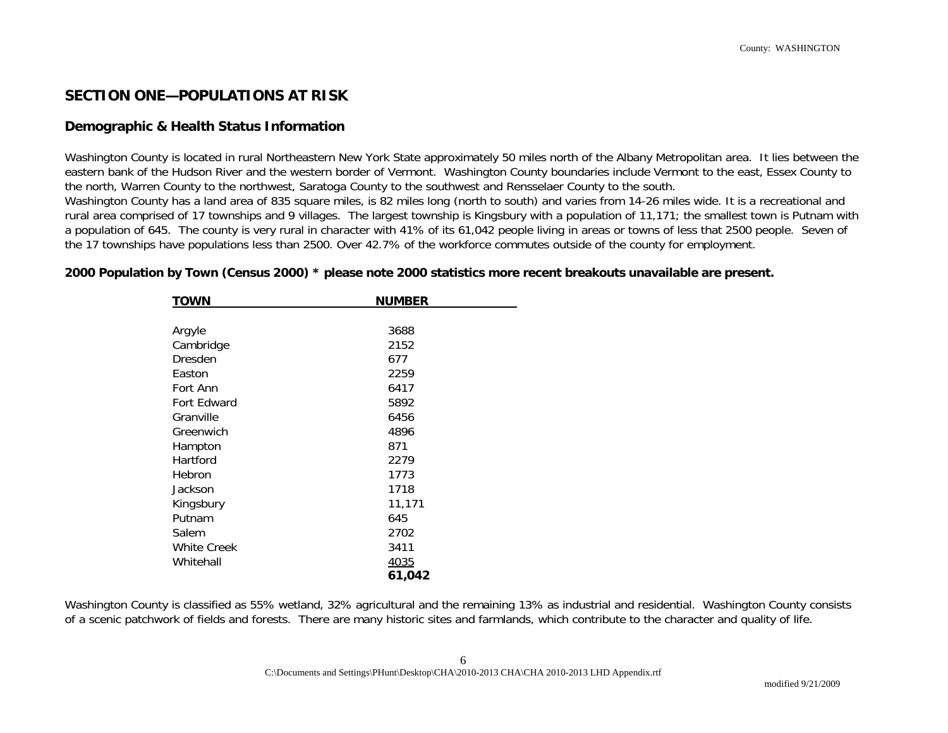# **SECTION ONE—POPULATIONS AT RISK**

## **Demographic & Health Status Information**

Washington County is located in rural Northeastern New York State approximately 50 miles north of the Albany Metropolitan area. It lies between the eastern bank of the Hudson River and the western border of Vermont. Washington County boundaries include Vermont to the east, Essex County to the north, Warren County to the northwest, Saratoga County to the southwest and Rensselaer County to the south. Washington County has a land area of 835 square miles, is 82 miles long (north to south) and varies from 14-26 miles wide. It is a recreational and rural area comprised of 17 townships and 9 villages. The largest township is Kingsbury with a population of 11,171; the smallest town is Putnam with a population of 645. The county is very rural in character with 41% of its 61,042 people living in areas or towns of less that 2500 people. Seven of the 17 townships have populations less than 2500. Over 42.7% of the workforce commutes outside of the county for employment.

|  |  | 2000 Population by Town (Census 2000) * please note 2000 statistics more recent breakouts unavailable are present. |  |
|--|--|--------------------------------------------------------------------------------------------------------------------|--|
|--|--|--------------------------------------------------------------------------------------------------------------------|--|

| <b>TOWN</b>        | <u>NUMBER</u> |
|--------------------|---------------|
|                    |               |
| Argyle             | 3688          |
| Cambridge          | 2152          |
| Dresden            | 677           |
| Easton             | 2259          |
| Fort Ann           | 6417          |
| Fort Edward        | 5892          |
| Granville          | 6456          |
| Greenwich          | 4896          |
| Hampton            | 871           |
| Hartford           | 2279          |
| Hebron             | 1773          |
| Jackson            | 1718          |
| Kingsbury          | 11,171        |
| Putnam             | 645           |
| Salem              | 2702          |
| <b>White Creek</b> | 3411          |
| Whitehall          | 4035          |
|                    | 61,042        |

Washington County is classified as 55% wetland, 32% agricultural and the remaining 13% as industrial and residential. Washington County consists of a scenic patchwork of fields and forests. There are many historic sites and farmlands, which contribute to the character and quality of life.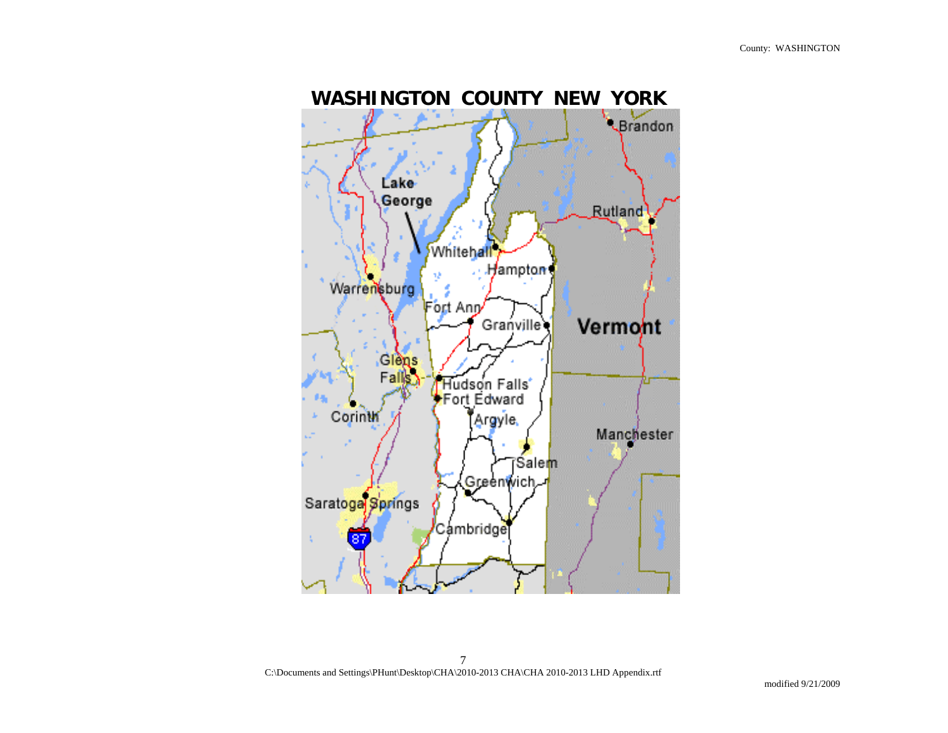

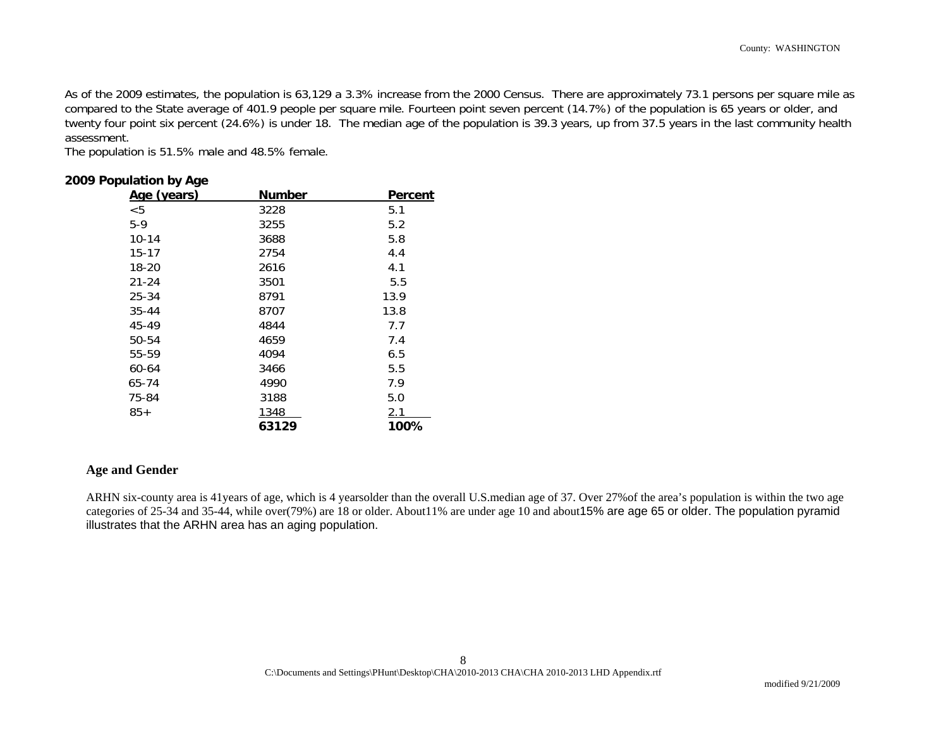As of the 2009 estimates, the population is 63,129 a 3.3% increase from the 2000 Census. There are approximately 73.1 persons per square mile as compared to the State average of 401.9 people per square mile. Fourteen point seven percent (14.7%) of the population is 65 years or older, and twenty four point six percent (24.6%) is under 18. The median age of the population is 39.3 years, up from 37.5 years in the last community health assessment.

The population is 51.5% male and 48.5% female.

|  | 2009 Population by Age |  |
|--|------------------------|--|
|  |                        |  |

| Age (years) | <b>Number</b> | <u>Percent</u> |
|-------------|---------------|----------------|
| < 5         | 3228          | 5.1            |
| $5-9$       | 3255          | 5.2            |
| $10 - 14$   | 3688          | 5.8            |
| $15 - 17$   | 2754          | 4.4            |
| 18-20       | 2616          | 4.1            |
| $21 - 24$   | 3501          | 5.5            |
| 25-34       | 8791          | 13.9           |
| $35 - 44$   | 8707          | 13.8           |
| 45-49       | 4844          | 7.7            |
| 50-54       | 4659          | 7.4            |
| 55-59       | 4094          | 6.5            |
| 60-64       | 3466          | 5.5            |
| 65-74       | 4990          | 7.9            |
| 75-84       | 3188          | 5.0            |
| $85+$       | 1348          | 2.1            |
|             | 63129         | 100%           |

### **Age and Gender**

ARHN six-county area is 41years of age, which is 4 yearsolder than the overall U.S.median age of 37. Over 27%of the area's population is within the two age categories of 25-34 and 35-44, while over(79%) are 18 or older. About11% are under age 10 and about15% are age 65 or older. The population pyramid illustrates that the ARHN area has an aging population.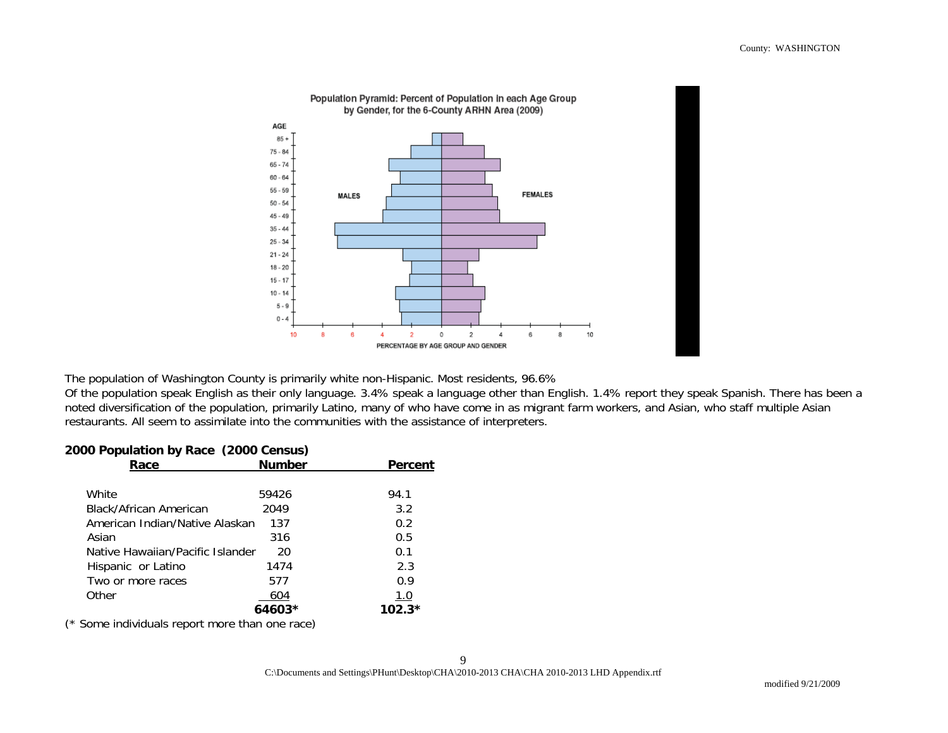

The population of Washington County is primarily white non-Hispanic. Most residents, 96.6%

Of the population speak English as their only language. 3.4% speak a language other than English. 1.4% report they speak Spanish. There has been a noted diversification of the population, primarily Latino, many of who have come in as migrant farm workers, and Asian, who staff multiple Asian restaurants. All seem to assimilate into the communities with the assistance of interpreters.

| 2000 Population by Race (2000 Census) |               |          |
|---------------------------------------|---------------|----------|
| Race                                  | <b>Number</b> | Percent  |
|                                       |               |          |
| White                                 | 59426         | 94.1     |
| Black/African American                | 2049          | 3.2      |
| American Indian/Native Alaskan        | 137           | 0.2      |
| Asian                                 | 316           | 0.5      |
| Native Hawaiian/Pacific Islander      | 20            | 0.1      |
| Hispanic or Latino                    | 1474          | 2.3      |
| Two or more races                     | 577           | 0.9      |
| Other                                 | 604           | 1.0      |
|                                       | 64603*        | $102.3*$ |
|                                       |               |          |

(\* Some individuals report more than one race)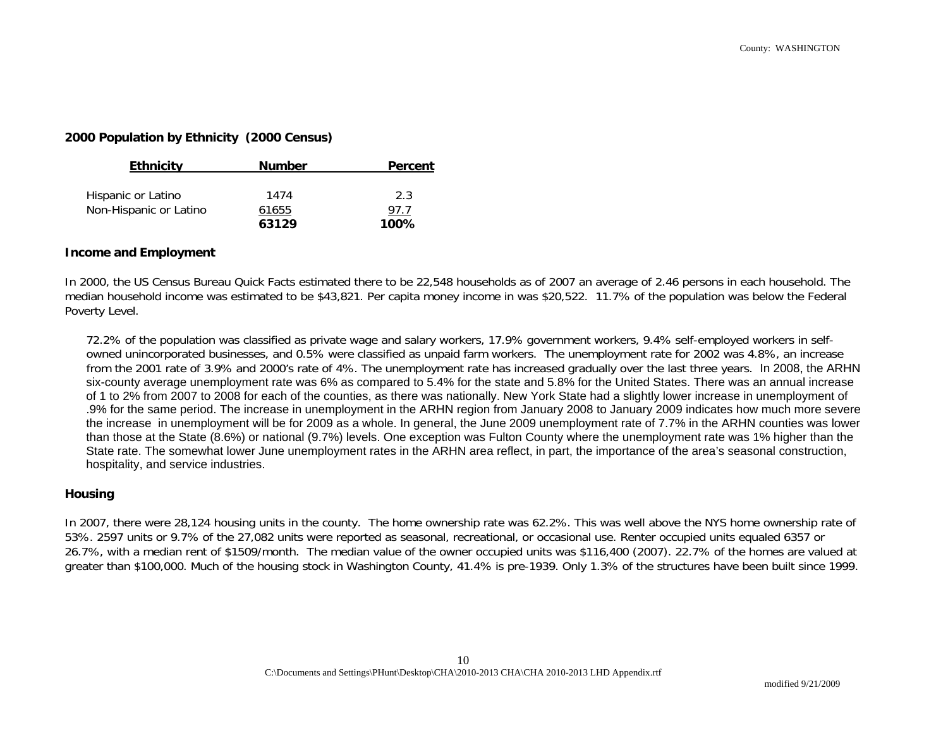## **2000 Population by Ethnicity (2000 Census)**

| <b>Ethnicity</b>       | <b>Number</b> | Percent |
|------------------------|---------------|---------|
| Hispanic or Latino     | 1474          | 2.3     |
| Non-Hispanic or Latino | 61655         |         |
|                        | 63129         | 100%    |

#### **Income and Employment**

In 2000, the US Census Bureau Quick Facts estimated there to be 22,548 households as of 2007 an average of 2.46 persons in each household. The median household income was estimated to be \$43,821. Per capita money income in was \$20,522. 11.7% of the population was below the Federal Poverty Level.

72.2% of the population was classified as private wage and salary workers, 17.9% government workers, 9.4% self-employed workers in selfowned unincorporated businesses, and 0.5% were classified as unpaid farm workers. The unemployment rate for 2002 was 4.8%, an increase from the 2001 rate of 3.9% and 2000's rate of 4%. The unemployment rate has increased gradually over the last three years. In 2008, the ARHN six-county average unemployment rate was 6% as compared to 5.4% for the state and 5.8% for the United States. There was an annual increase of 1 to 2% from 2007 to 2008 for each of the counties, as there was nationally. New York State had a slightly lower increase in unemployment of .9% for the same period. The increase in unemployment in the ARHN region from January 2008 to January 2009 indicates how much more severe the increase in unemployment will be for 2009 as a whole. In general, the June 2009 unemployment rate of 7.7% in the ARHN counties was lower than those at the State (8.6%) or national (9.7%) levels. One exception was Fulton County where the unemployment rate was 1% higher than the State rate. The somewhat lower June unemployment rates in the ARHN area reflect, in part, the importance of the area's seasonal construction, hospitality, and service industries.

#### **Housing**

In 2007, there were 28,124 housing units in the county. The home ownership rate was 62.2%. This was well above the NYS home ownership rate of 53%. 2597 units or 9.7% of the 27,082 units were reported as seasonal, recreational, or occasional use. Renter occupied units equaled 6357 or 26.7%, with a median rent of \$1509/month. The median value of the owner occupied units was \$116,400 (2007). 22.7% of the homes are valued at greater than \$100,000. Much of the housing stock in Washington County, 41.4% is pre-1939. Only 1.3% of the structures have been built since 1999.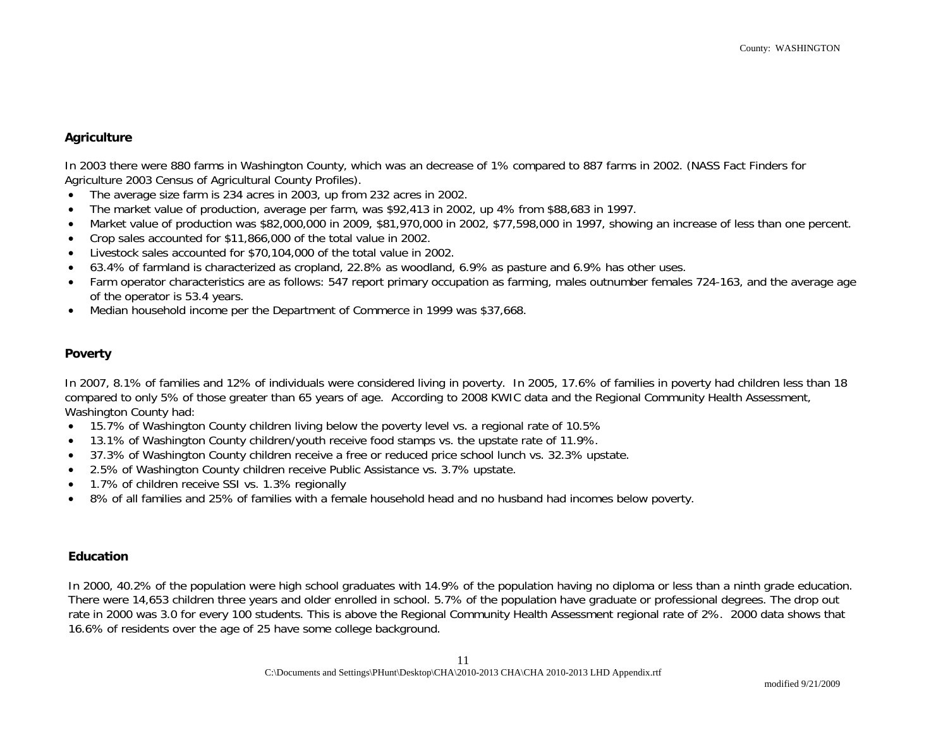## **Agriculture**

In 2003 there were 880 farms in Washington County, which was an decrease of 1% compared to 887 farms in 2002. (NASS Fact Finders for Agriculture 2003 Census of Agricultural County Profiles).

- The average size farm is 234 acres in 2003, up from 232 acres in 2002.
- The market value of production, average per farm, was \$92,413 in 2002, up 4% from \$88,683 in 1997.
- Market value of production was \$82,000,000 in 2009, \$81,970,000 in 2002, \$77,598,000 in 1997, showing an increase of less than one percent.
- Crop sales accounted for \$11,866,000 of the total value in 2002.
- Livestock sales accounted for \$70,104,000 of the total value in 2002.
- 63.4% of farmland is characterized as cropland, 22.8% as woodland, 6.9% as pasture and 6.9% has other uses.
- Farm operator characteristics are as follows: 547 report primary occupation as farming, males outnumber females 724-163, and the average age of the operator is 53.4 years.
- Median household income per the Department of Commerce in 1999 was \$37,668.

### **Poverty**

In 2007, 8.1% of families and 12% of individuals were considered living in poverty. In 2005, 17.6% of families in poverty had children less than 18 compared to only 5% of those greater than 65 years of age. According to 2008 KWIC data and the Regional Community Health Assessment, Washington County had:

- 15.7% of Washington County children living below the poverty level vs. a regional rate of 10.5%
- 13.1% of Washington County children/youth receive food stamps vs. the upstate rate of 11.9%.
- 37.3% of Washington County children receive a free or reduced price school lunch vs. 32.3% upstate.
- 2.5% of Washington County children receive Public Assistance vs. 3.7% upstate.
- 1.7% of children receive SSI vs. 1.3% regionally
- 8% of all families and 25% of families with a female household head and no husband had incomes below poverty.

### **Education**

In 2000, 40.2% of the population were high school graduates with 14.9% of the population having no diploma or less than a ninth grade education. There were 14,653 children three years and older enrolled in school. 5.7% of the population have graduate or professional degrees. The drop out rate in 2000 was 3.0 for every 100 students. This is above the Regional Community Health Assessment regional rate of 2%. 2000 data shows that 16.6% of residents over the age of 25 have some college background.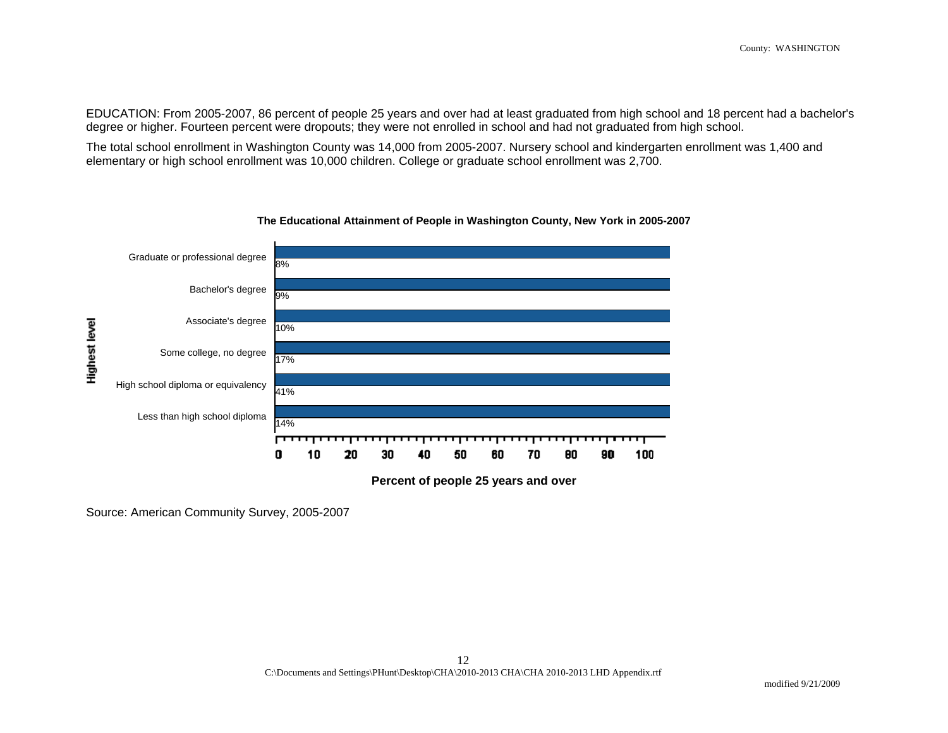EDUCATION: From 2005-2007, 86 percent of people 25 years and over had at least graduated from high school and 18 percent had a bachelor's degree or higher. Fourteen percent were dropouts; they were not enrolled in school and had not graduated from high school.

The total school enrollment in Washington County was 14,000 from 2005-2007. Nursery school and kindergarten enrollment was 1,400 and elementary or high school enrollment was 10,000 children. College or graduate school enrollment was 2,700.



#### **The Educational Attainment of People in Washington County, New York in 2005-2007**

**Percent of people 25 years and over** 

Source: American Community Survey, 2005-2007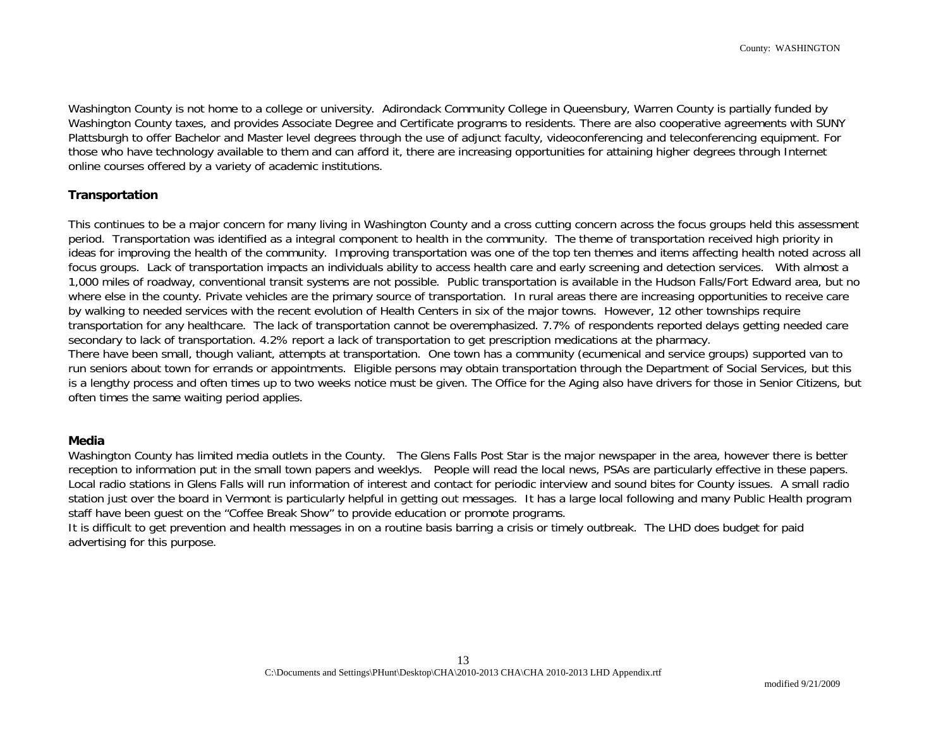Washington County is not home to a college or university. Adirondack Community College in Queensbury, Warren County is partially funded by Washington County taxes, and provides Associate Degree and Certificate programs to residents. There are also cooperative agreements with SUNY Plattsburgh to offer Bachelor and Master level degrees through the use of adjunct faculty, videoconferencing and teleconferencing equipment. For those who have technology available to them and can afford it, there are increasing opportunities for attaining higher degrees through Internet online courses offered by a variety of academic institutions.

#### **Transportation**

This continues to be a major concern for many living in Washington County and a cross cutting concern across the focus groups held this assessment period. Transportation was identified as a integral component to health in the community. The theme of transportation received high priority in ideas for improving the health of the community. Improving transportation was one of the top ten themes and items affecting health noted across all focus groups. Lack of transportation impacts an individuals ability to access health care and early screening and detection services. With almost a 1,000 miles of roadway, conventional transit systems are not possible. Public transportation is available in the Hudson Falls/Fort Edward area, but no where else in the county. Private vehicles are the primary source of transportation. In rural areas there are increasing opportunities to receive care by walking to needed services with the recent evolution of Health Centers in six of the major towns. However, 12 other townships require transportation for any healthcare. The lack of transportation cannot be overemphasized. 7.7% of respondents reported delays getting needed care secondary to lack of transportation. 4.2% report a lack of transportation to get prescription medications at the pharmacy. There have been small, though valiant, attempts at transportation. One town has a community (ecumenical and service groups) supported van to run seniors about town for errands or appointments. Eligible persons may obtain transportation through the Department of Social Services, but this is a lengthy process and often times up to two weeks notice must be given. The Office for the Aging also have drivers for those in Senior Citizens, but often times the same waiting period applies.

#### **Media**

Washington County has limited media outlets in the County. The Glens Falls Post Star is the major newspaper in the area, however there is better reception to information put in the small town papers and weeklys. People will read the local news, PSAs are particularly effective in these papers. Local radio stations in Glens Falls will run information of interest and contact for periodic interview and sound bites for County issues. A small radio station just over the board in Vermont is particularly helpful in getting out messages. It has a large local following and many Public Health program staff have been guest on the "Coffee Break Show" to provide education or promote programs.

It is difficult to get prevention and health messages in on a routine basis barring a crisis or timely outbreak. The LHD does budget for paid advertising for this purpose.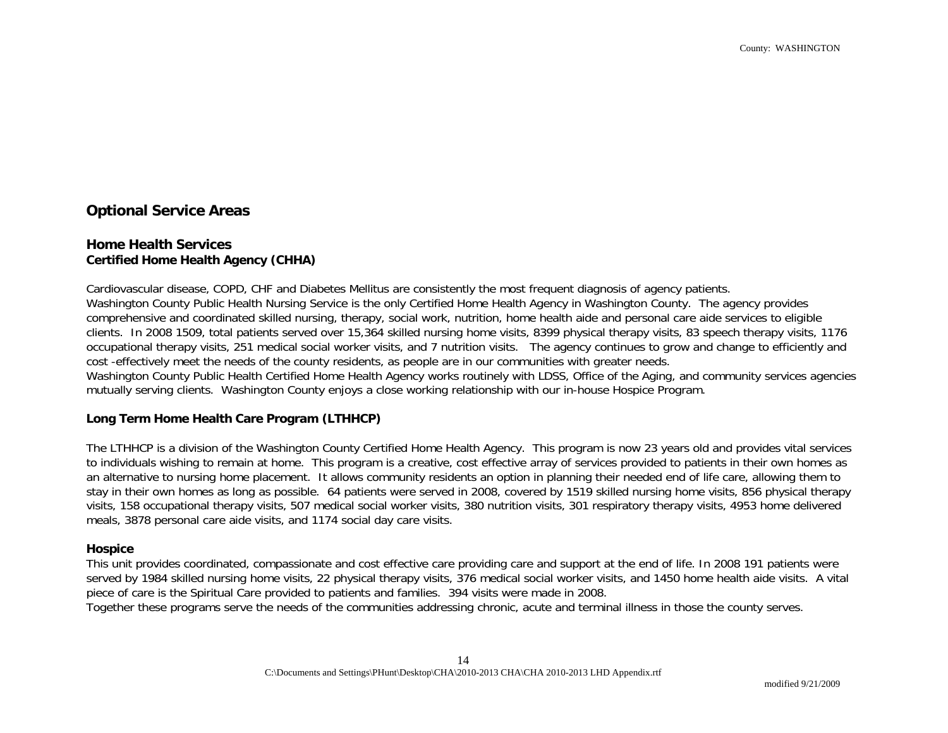# **Optional Service Areas**

#### **Home Health ServicesCertified Home Health Agency (CHHA)**

Cardiovascular disease, COPD, CHF and Diabetes Mellitus are consistently the most frequent diagnosis of agency patients. Washington County Public Health Nursing Service is the only Certified Home Health Agency in Washington County. The agency provides comprehensive and coordinated skilled nursing, therapy, social work, nutrition, home health aide and personal care aide services to eligible clients. In 2008 1509, total patients served over 15,364 skilled nursing home visits, 8399 physical therapy visits, 83 speech therapy visits, 1176 occupational therapy visits, 251 medical social worker visits, and 7 nutrition visits. The agency continues to grow and change to efficiently and cost -effectively meet the needs of the county residents, as people are in our communities with greater needs. Washington County Public Health Certified Home Health Agency works routinely with LDSS, Office of the Aging, and community services agencies mutually serving clients. Washington County enjoys a close working relationship with our in-house Hospice Program.

### **Long Term Home Health Care Program (LTHHCP)**

The LTHHCP is a division of the Washington County Certified Home Health Agency. This program is now 23 years old and provides vital services to individuals wishing to remain at home. This program is a creative, cost effective array of services provided to patients in their own homes as an alternative to nursing home placement. It allows community residents an option in planning their needed end of life care, allowing them to stay in their own homes as long as possible. 64 patients were served in 2008, covered by 1519 skilled nursing home visits, 856 physical therapy visits, 158 occupational therapy visits, 507 medical social worker visits, 380 nutrition visits, 301 respiratory therapy visits, 4953 home delivered meals, 3878 personal care aide visits, and 1174 social day care visits.

#### **Hospice**

This unit provides coordinated, compassionate and cost effective care providing care and support at the end of life. In 2008 191 patients were served by 1984 skilled nursing home visits, 22 physical therapy visits, 376 medical social worker visits, and 1450 home health aide visits. A vital piece of care is the Spiritual Care provided to patients and families. 394 visits were made in 2008.

Together these programs serve the needs of the communities addressing chronic, acute and terminal illness in those the county serves.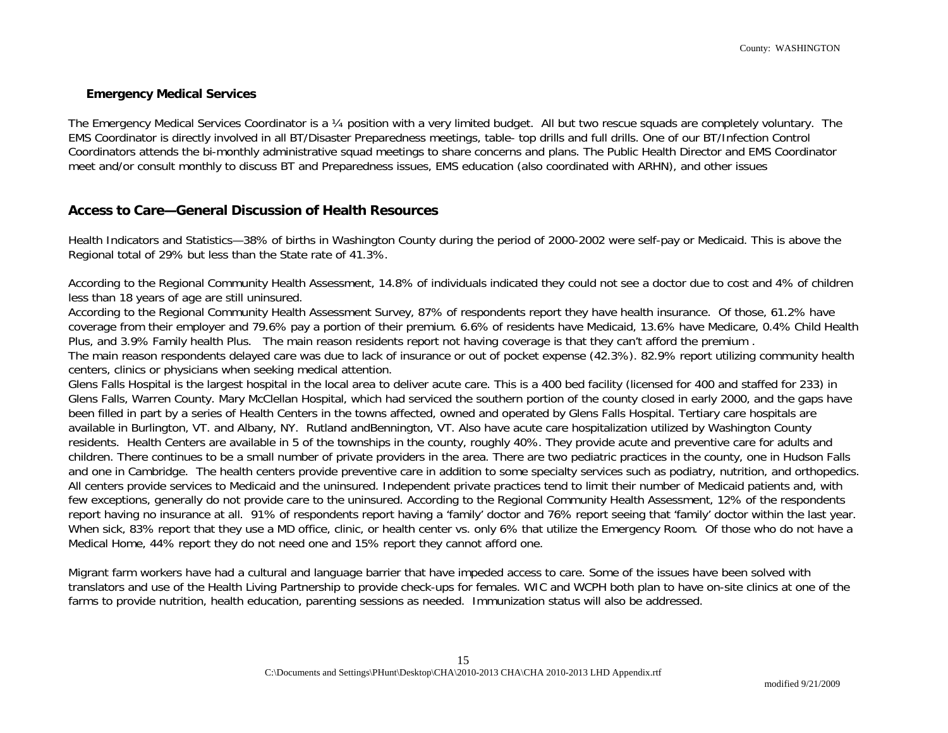## **Emergency Medical Services**

The Emergency Medical Services Coordinator is a ¼ position with a very limited budget. All but two rescue squads are completely voluntary. The EMS Coordinator is directly involved in all BT/Disaster Preparedness meetings, table- top drills and full drills. One of our BT/Infection Control Coordinators attends the bi-monthly administrative squad meetings to share concerns and plans. The Public Health Director and EMS Coordinator meet and/or consult monthly to discuss BT and Preparedness issues, EMS education (also coordinated with ARHN), and other issues

# **Access to Care—General Discussion of Health Resources**

Health Indicators and Statistics—38% of births in Washington County during the period of 2000-2002 were self-pay or Medicaid. This is above the Regional total of 29% but less than the State rate of 41.3%.

According to the Regional Community Health Assessment, 14.8% of individuals indicated they could not see a doctor due to cost and 4% of children less than 18 years of age are still uninsured.

According to the Regional Community Health Assessment Survey, 87% of respondents report they have health insurance. Of those, 61.2% have coverage from their employer and 79.6% pay a portion of their premium. 6.6% of residents have Medicaid, 13.6% have Medicare, 0.4% Child Health Plus, and 3.9% Family health Plus. The main reason residents report not having coverage is that they can't afford the premium . The main reason respondents delayed care was due to lack of insurance or out of pocket expense (42.3%). 82.9% report utilizing community health centers, clinics or physicians when seeking medical attention.

Glens Falls Hospital is the largest hospital in the local area to deliver acute care. This is a 400 bed facility (licensed for 400 and staffed for 233) in Glens Falls, Warren County. Mary McClellan Hospital, which had serviced the southern portion of the county closed in early 2000, and the gaps have been filled in part by a series of Health Centers in the towns affected, owned and operated by Glens Falls Hospital. Tertiary care hospitals are available in Burlington, VT. and Albany, NY. Rutland andBennington, VT. Also have acute care hospitalization utilized by Washington County residents. Health Centers are available in 5 of the townships in the county, roughly 40%. They provide acute and preventive care for adults and children. There continues to be a small number of private providers in the area. There are two pediatric practices in the county, one in Hudson Falls and one in Cambridge. The health centers provide preventive care in addition to some specialty services such as podiatry, nutrition, and orthopedics. All centers provide services to Medicaid and the uninsured. Independent private practices tend to limit their number of Medicaid patients and, with few exceptions, generally do not provide care to the uninsured. According to the Regional Community Health Assessment, 12% of the respondents report having no insurance at all. 91% of respondents report having a 'family' doctor and 76% report seeing that 'family' doctor within the last year. When sick, 83% report that they use a MD office, clinic, or health center vs. only 6% that utilize the Emergency Room. Of those who do not have a Medical Home, 44% report they do not need one and 15% report they cannot afford one.

Migrant farm workers have had a cultural and language barrier that have impeded access to care. Some of the issues have been solved with translators and use of the Health Living Partnership to provide check-ups for females. WIC and WCPH both plan to have on-site clinics at one of the farms to provide nutrition, health education, parenting sessions as needed. Immunization status will also be addressed.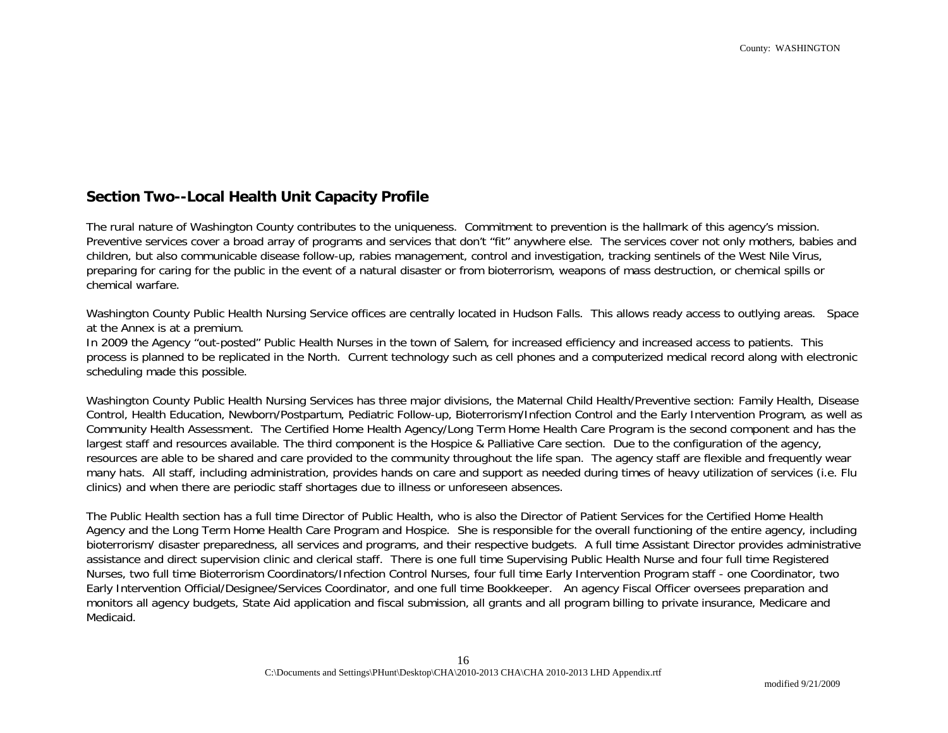# **Section Two--Local Health Unit Capacity Profile**

The rural nature of Washington County contributes to the uniqueness. Commitment to prevention is the hallmark of this agency's mission. Preventive services cover a broad array of programs and services that don't "fit" anywhere else. The services cover not only mothers, babies and children, but also communicable disease follow-up, rabies management, control and investigation, tracking sentinels of the West Nile Virus, preparing for caring for the public in the event of a natural disaster or from bioterrorism, weapons of mass destruction, or chemical spills or chemical warfare.

Washington County Public Health Nursing Service offices are centrally located in Hudson Falls. This allows ready access to outlying areas. Space at the Annex is at a premium.

In 2009 the Agency "out-posted" Public Health Nurses in the town of Salem, for increased efficiency and increased access to patients. This process is planned to be replicated in the North. Current technology such as cell phones and a computerized medical record along with electronic scheduling made this possible.

Washington County Public Health Nursing Services has three major divisions, the Maternal Child Health/Preventive section: Family Health, Disease Control, Health Education, Newborn/Postpartum, Pediatric Follow-up, Bioterrorism/Infection Control and the Early Intervention Program, as well as Community Health Assessment. The Certified Home Health Agency/Long Term Home Health Care Program is the second component and has the largest staff and resources available. The third component is the Hospice & Palliative Care section. Due to the configuration of the agency, resources are able to be shared and care provided to the community throughout the life span. The agency staff are flexible and frequently wear many hats. All staff, including administration, provides hands on care and support as needed during times of heavy utilization of services (i.e. Flu clinics) and when there are periodic staff shortages due to illness or unforeseen absences.

The Public Health section has a full time Director of Public Health, who is also the Director of Patient Services for the Certified Home Health Agency and the Long Term Home Health Care Program and Hospice. She is responsible for the overall functioning of the entire agency, including bioterrorism/ disaster preparedness, all services and programs, and their respective budgets. A full time Assistant Director provides administrative assistance and direct supervision clinic and clerical staff. There is one full time Supervising Public Health Nurse and four full time Registered Nurses, two full time Bioterrorism Coordinators/Infection Control Nurses, four full time Early Intervention Program staff - one Coordinator, two Early Intervention Official/Designee/Services Coordinator, and one full time Bookkeeper. An agency Fiscal Officer oversees preparation and monitors all agency budgets, State Aid application and fiscal submission, all grants and all program billing to private insurance, Medicare and Medicaid.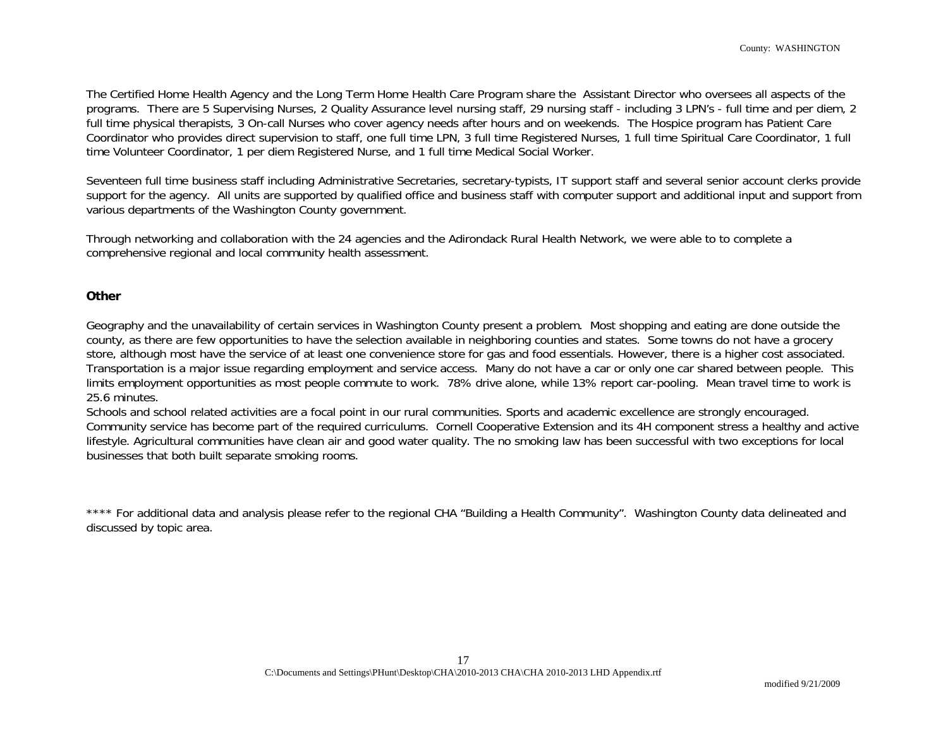The Certified Home Health Agency and the Long Term Home Health Care Program share the Assistant Director who oversees all aspects of the programs. There are 5 Supervising Nurses, 2 Quality Assurance level nursing staff, 29 nursing staff - including 3 LPN's - full time and per diem, 2 full time physical therapists, 3 On-call Nurses who cover agency needs after hours and on weekends. The Hospice program has Patient Care Coordinator who provides direct supervision to staff, one full time LPN, 3 full time Registered Nurses, 1 full time Spiritual Care Coordinator, 1 full time Volunteer Coordinator, 1 per diem Registered Nurse, and 1 full time Medical Social Worker.

Seventeen full time business staff including Administrative Secretaries, secretary-typists, IT support staff and several senior account clerks provide support for the agency. All units are supported by qualified office and business staff with computer support and additional input and support from various departments of the Washington County government.

Through networking and collaboration with the 24 agencies and the Adirondack Rural Health Network, we were able to to complete a comprehensive regional and local community health assessment.

#### **Other**

Geography and the unavailability of certain services in Washington County present a problem. Most shopping and eating are done outside the county, as there are few opportunities to have the selection available in neighboring counties and states. Some towns do not have a grocery store, although most have the service of at least one convenience store for gas and food essentials. However, there is a higher cost associated. Transportation is a major issue regarding employment and service access. Many do not have a car or only one car shared between people. This limits employment opportunities as most people commute to work. 78% drive alone, while 13% report car-pooling. Mean travel time to work is 25.6 minutes.

Schools and school related activities are a focal point in our rural communities. Sports and academic excellence are strongly encouraged. Community service has become part of the required curriculums. Cornell Cooperative Extension and its 4H component stress a healthy and active lifestyle. Agricultural communities have clean air and good water quality. The no smoking law has been successful with two exceptions for local businesses that both built separate smoking rooms.

\*\*\*\* For additional data and analysis please refer to the regional CHA "Building a Health Community". Washington County data delineated and discussed by topic area.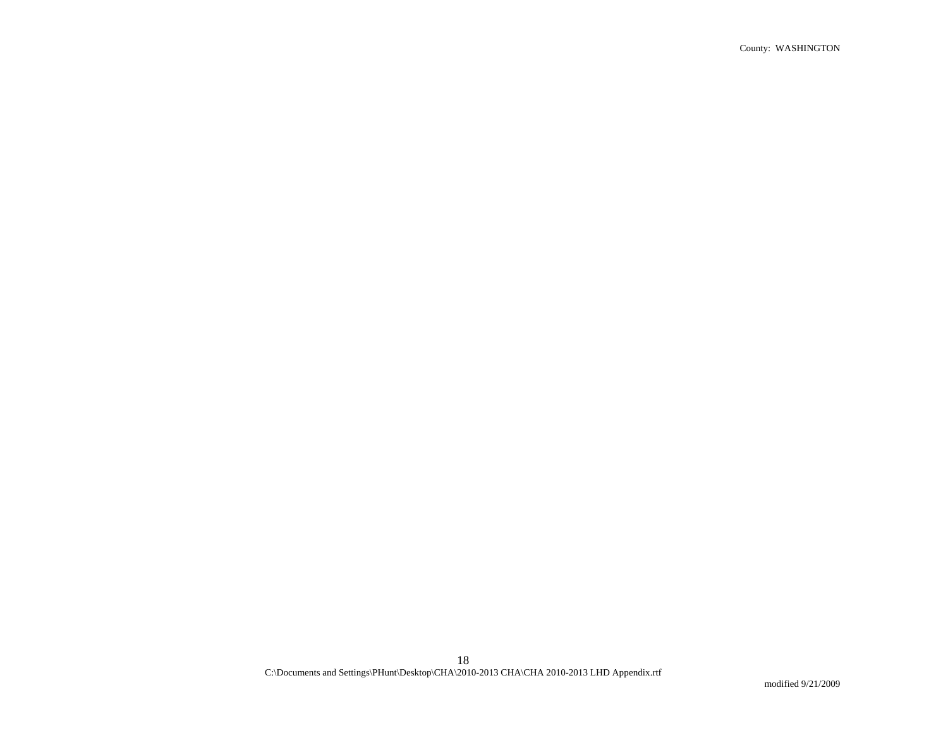County: WASHINGTON